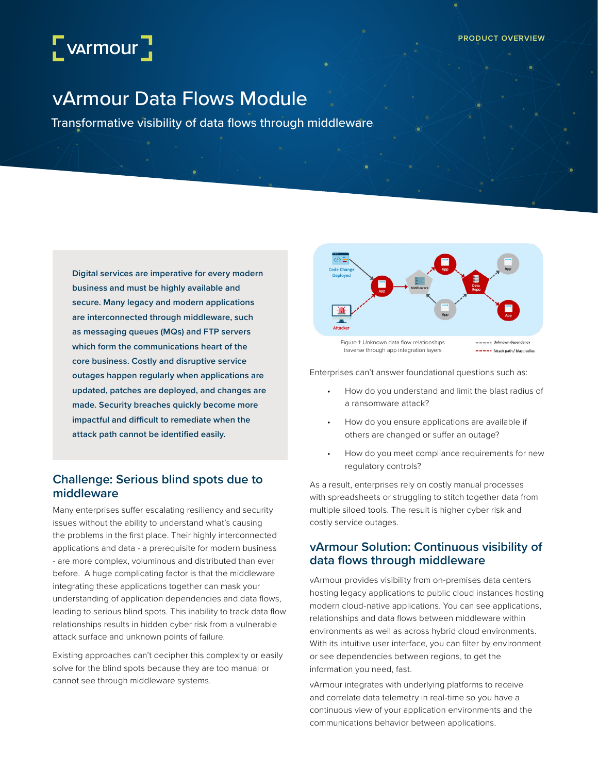# $\sqrt{\phantom{a}}$  varmour $\sqrt{\phantom{a}}$

# vArmour Data Flows Module

Transformative visibility of data flows through middleware

**Digital services are imperative for every modern business and must be highly available and secure. Many legacy and modern applications are interconnected through middleware, such as messaging queues (MQs) and FTP servers which form the communications heart of the core business. Costly and disruptive service outages happen regularly when applications are updated, patches are deployed, and changes are made. Security breaches quickly become more impactful and difficult to remediate when the attack path cannot be identified easily.** 

# **Challenge: Serious blind spots due to middleware**

Many enterprises suffer escalating resiliency and security issues without the ability to understand what's causing the problems in the first place. Their highly interconnected applications and data - a prerequisite for modern business - are more complex, voluminous and distributed than ever before. A huge complicating factor is that the middleware integrating these applications together can mask your understanding of application dependencies and data flows, leading to serious blind spots. This inability to track data flow relationships results in hidden cyber risk from a vulnerable attack surface and unknown points of failure.

Existing approaches can't decipher this complexity or easily solve for the blind spots because they are too manual or cannot see through middleware systems.



Enterprises can't answer foundational questions such as:

- How do you understand and limit the blast radius of a ransomware attack?
- How do you ensure applications are available if others are changed or suffer an outage?
- How do you meet compliance requirements for new regulatory controls?

As a result, enterprises rely on costly manual processes with spreadsheets or struggling to stitch together data from multiple siloed tools. The result is higher cyber risk and costly service outages.

# **vArmour Solution: Continuous visibility of data flows through middleware**

vArmour provides visibility from on-premises data centers hosting legacy applications to public cloud instances hosting modern cloud-native applications. You can see applications, relationships and data flows between middleware within environments as well as across hybrid cloud environments. With its intuitive user interface, you can filter by environment or see dependencies between regions, to get the information you need, fast.

vArmour integrates with underlying platforms to receive and correlate data telemetry in real-time so you have a continuous view of your application environments and the communications behavior between applications.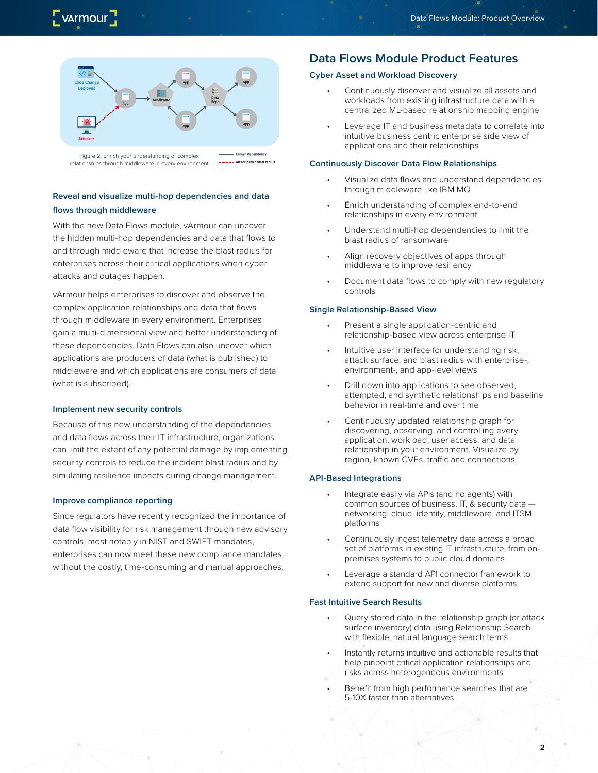

Figure 2: Enrich your understanding of complex ----- Attack path / blast radius relationships through middleware in every environment

### **Reveal and visualize multi-hop dependencies and data flows through middleware**

With the new Data Flows module, vArmour can uncover the hidden multi-hop dependencies and data that flows to and through middleware that increase the blast radius for enterprises across their critical applications when cyber attacks and outages happen.

vArmour helps enterprises to discover and observe the complex application relationships and data that flows through middleware in every environment. Enterprises gain a multi-dimensional view and better understanding of these dependencies. Data Flows can also uncover which applications are producers of data (what is published) to middleware and which applications are consumers of data (what is subscribed).

#### **Implement new security controls**

Because of this new understanding of the dependencies and data flows across their IT infrastructure, organizations can limit the extent of any potential damage by implementing security controls to reduce the incident blast radius and by simulating resilience impacts during change management.

#### **Improve compliance reporting**

Since regulators have recently recognized the importance of data flow visibility for risk management through new advisory controls, most notably in NIST and SWIFT mandates, enterprises can now meet these new compliance mandates without the costly, time-consuming and manual approaches.

# **Data Flows Module Product Features**

#### **Cyber Asset and Workload Discovery**

- Continuously discover and visualize all assets and workloads from existing infrastructure data with a centralized ML-based relationship mapping engine
- Leverage IT and business metadata to correlate into intuitive business centric enterprise side view of applications and their relationships

#### **Continuously Discover Data Flow Relationships**

- Visualize data flows and understand dependencies through middleware like IBM MQ
- Enrich understanding of complex end-to-end relationships in every environment
- Understand multi-hop dependencies to limit the blast radius of ransomware
- Align recovery objectives of apps through middleware to improve resiliency
- Document data flows to comply with new regulatory controls

#### **Single Relationship-Based View**

- Present a single application-centric and relationship-based view across enterprise IT
- Intuitive user interface for understanding risk, attack surface, and blast radius with enterprise-, environment-, and app-level views
- Drill down into applications to see observed, attempted, and synthetic relationships and baseline behavior in real-time and over time
- Continuously updated relationship graph for discovering, observing, and controlling every application, workload, user access, and data relationship in your environment. Visualize by region, known CVEs, traffic and connections.

#### **API-Based Integrations**

- Integrate easily via APIs (and no agents) with common sources of business, IT, & security data networking, cloud, identity, middleware, and ITSM platforms
- Continuously ingest telemetry data across a broad set of platforms in existing IT infrastructure, from onpremises systems to public cloud domains
- Leverage a standard API connector framework to extend support for new and diverse platforms

#### **Fast Intuitive Search Results**

- Query stored data in the relationship graph (or attack surface inventory) data using Relationship Search with flexible, natural language search terms
- Instantly returns intuitive and actionable results that help pinpoint critical application relationships and risks across heterogeneous environments
- Benefit from high performance searches that are 5-10X faster than alternatives